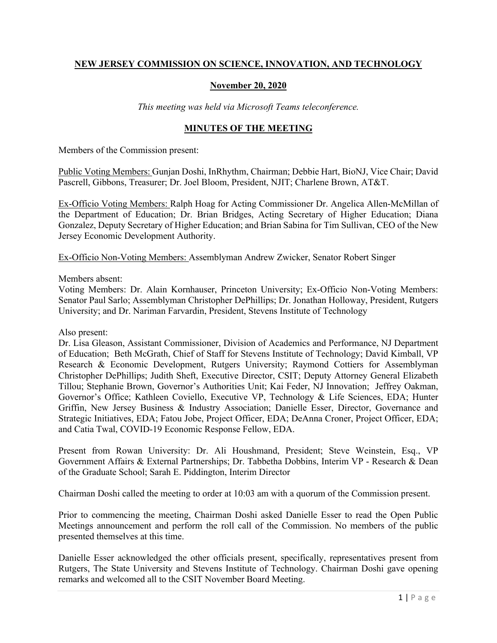# **NEW JERSEY COMMISSION ON SCIENCE, INNOVATION, AND TECHNOLOGY**

#### **November 20, 2020**

*This meeting was held via Microsoft Teams teleconference.*

#### **MINUTES OF THE MEETING**

Members of the Commission present:

Public Voting Members: Gunjan Doshi, InRhythm, Chairman; Debbie Hart, BioNJ, Vice Chair; David Pascrell, Gibbons, Treasurer; Dr. Joel Bloom, President, NJIT; Charlene Brown, AT&T.

Ex-Officio Voting Members: Ralph Hoag for Acting Commissioner Dr. Angelica Allen-McMillan of the Department of Education; Dr. Brian Bridges, Acting Secretary of Higher Education; Diana Gonzalez, Deputy Secretary of Higher Education; and Brian Sabina for Tim Sullivan, CEO of the New Jersey Economic Development Authority.

Ex-Officio Non-Voting Members: Assemblyman Andrew Zwicker, Senator Robert Singer

Members absent:

Voting Members: Dr. Alain Kornhauser, Princeton University; Ex-Officio Non-Voting Members: Senator Paul Sarlo; Assemblyman Christopher DePhillips; Dr. Jonathan Holloway, President, Rutgers University; and Dr. Nariman Farvardin, President, Stevens Institute of Technology

Also present:

Dr. Lisa Gleason, Assistant Commissioner, Division of Academics and Performance, NJ Department of Education; Beth McGrath, Chief of Staff for Stevens Institute of Technology; David Kimball, VP Research & Economic Development, Rutgers University; Raymond Cottiers for Assemblyman Christopher DePhillips; Judith Sheft, Executive Director, CSIT; Deputy Attorney General Elizabeth Tillou; Stephanie Brown, Governor's Authorities Unit; Kai Feder, NJ Innovation; Jeffrey Oakman, Governor's Office; Kathleen Coviello, Executive VP, Technology & Life Sciences, EDA; Hunter Griffin, New Jersey Business & Industry Association; Danielle Esser, Director, Governance and Strategic Initiatives, EDA; Fatou Jobe, Project Officer, EDA; DeAnna Croner, Project Officer, EDA; and Catia Twal, COVID-19 Economic Response Fellow, EDA.

Present from Rowan University: Dr. Ali Houshmand, President; Steve Weinstein, Esq., VP Government Affairs & External Partnerships; Dr. Tabbetha Dobbins, Interim VP - Research & Dean of the Graduate School; Sarah E. Piddington, Interim Director

Chairman Doshi called the meeting to order at 10:03 am with a quorum of the Commission present.

Prior to commencing the meeting, Chairman Doshi asked Danielle Esser to read the Open Public Meetings announcement and perform the roll call of the Commission. No members of the public presented themselves at this time.

Danielle Esser acknowledged the other officials present, specifically, representatives present from Rutgers, The State University and Stevens Institute of Technology. Chairman Doshi gave opening remarks and welcomed all to the CSIT November Board Meeting.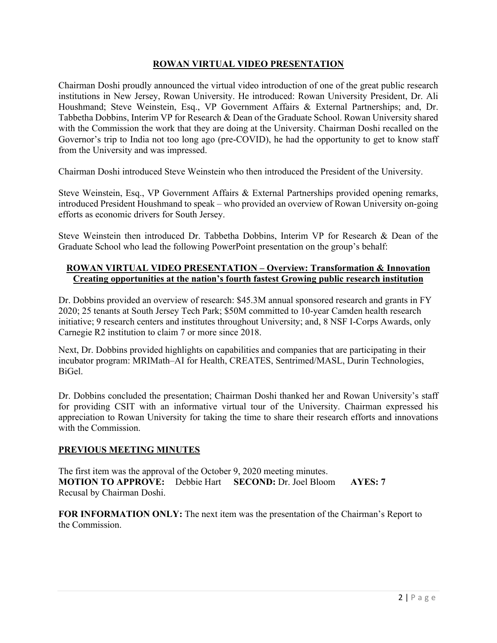## **ROWAN VIRTUAL VIDEO PRESENTATION**

Chairman Doshi proudly announced the virtual video introduction of one of the great public research institutions in New Jersey, Rowan University. He introduced: Rowan University President, Dr. Ali Houshmand; Steve Weinstein, Esq., VP Government Affairs & External Partnerships; and, Dr. Tabbetha Dobbins, Interim VP for Research & Dean of the Graduate School. Rowan University shared with the Commission the work that they are doing at the University. Chairman Doshi recalled on the Governor's trip to India not too long ago (pre-COVID), he had the opportunity to get to know staff from the University and was impressed.

Chairman Doshi introduced Steve Weinstein who then introduced the President of the University.

Steve Weinstein, Esq., VP Government Affairs & External Partnerships provided opening remarks, introduced President Houshmand to speak – who provided an overview of Rowan University on-going efforts as economic drivers for South Jersey.

Steve Weinstein then introduced Dr. Tabbetha Dobbins, Interim VP for Research & Dean of the Graduate School who lead the following PowerPoint presentation on the group's behalf:

### **ROWAN VIRTUAL VIDEO PRESENTATION – Overview: Transformation & Innovation Creating opportunities at the nation's fourth fastest Growing public research institution**

Dr. Dobbins provided an overview of research: \$45.3M annual sponsored research and grants in FY 2020; 25 tenants at South Jersey Tech Park; \$50M committed to 10-year Camden health research initiative; 9 research centers and institutes throughout University; and, 8 NSF I-Corps Awards, only Carnegie R2 institution to claim 7 or more since 2018.

Next, Dr. Dobbins provided highlights on capabilities and companies that are participating in their incubator program: MRIMath–AI for Health, CREATES, Sentrimed/MASL, Durin Technologies, BiGel.

Dr. Dobbins concluded the presentation; Chairman Doshi thanked her and Rowan University's staff for providing CSIT with an informative virtual tour of the University. Chairman expressed his appreciation to Rowan University for taking the time to share their research efforts and innovations with the Commission.

### **PREVIOUS MEETING MINUTES**

The first item was the approval of the October 9, 2020 meeting minutes. **MOTION TO APPROVE:** Debbie Hart **SECOND:** Dr. Joel Bloom **AYES: 7** Recusal by Chairman Doshi.

**FOR INFORMATION ONLY:** The next item was the presentation of the Chairman's Report to the Commission.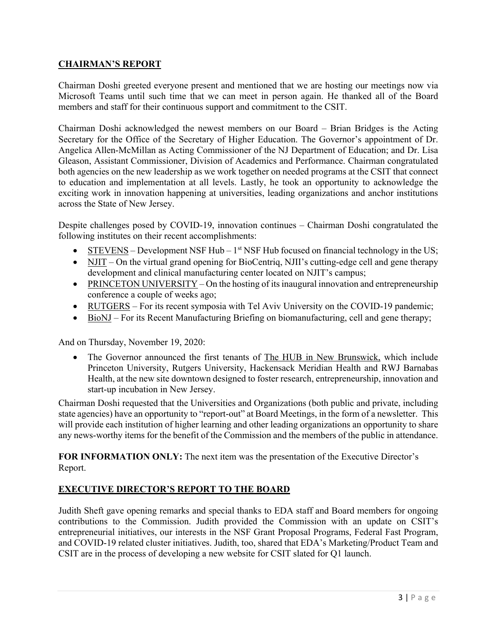# **CHAIRMAN'S REPORT**

Chairman Doshi greeted everyone present and mentioned that we are hosting our meetings now via Microsoft Teams until such time that we can meet in person again. He thanked all of the Board members and staff for their continuous support and commitment to the CSIT.

Chairman Doshi acknowledged the newest members on our Board – Brian Bridges is the Acting Secretary for the Office of the Secretary of Higher Education. The Governor's appointment of Dr. Angelica Allen-McMillan as Acting Commissioner of the NJ Department of Education; and Dr. Lisa Gleason, Assistant Commissioner, Division of Academics and Performance. Chairman congratulated both agencies on the new leadership as we work together on needed programs at the CSIT that connect to education and implementation at all levels. Lastly, he took an opportunity to acknowledge the exciting work in innovation happening at universities, leading organizations and anchor institutions across the State of New Jersey.

Despite challenges posed by COVID-19, innovation continues – Chairman Doshi congratulated the following institutes on their recent accomplishments:

- STEVENS Development NSF Hub  $1<sup>st</sup>$  NSF Hub focused on financial technology in the US;
- NJIT On the virtual grand opening for BioCentriq, NJII's cutting-edge cell and gene therapy development and clinical manufacturing center located on NJIT's campus;
- PRINCETON UNIVERSITY On the hosting of its inaugural innovation and entrepreneurship conference a couple of weeks ago;
- RUTGERS For its recent symposia with Tel Aviv University on the COVID-19 pandemic;
- BioNJ For its Recent Manufacturing Briefing on biomanufacturing, cell and gene therapy;

And on Thursday, November 19, 2020:

• The Governor announced the first tenants of The HUB in New Brunswick, which include Princeton University, Rutgers University, Hackensack Meridian Health and RWJ Barnabas Health, at the new site downtown designed to foster research, entrepreneurship, innovation and start-up incubation in New Jersey.

Chairman Doshi requested that the Universities and Organizations (both public and private, including state agencies) have an opportunity to "report-out" at Board Meetings, in the form of a newsletter. This will provide each institution of higher learning and other leading organizations an opportunity to share any news-worthy items for the benefit of the Commission and the members of the public in attendance.

**FOR INFORMATION ONLY:** The next item was the presentation of the Executive Director's Report.

# **EXECUTIVE DIRECTOR'S REPORT TO THE BOARD**

Judith Sheft gave opening remarks and special thanks to EDA staff and Board members for ongoing contributions to the Commission. Judith provided the Commission with an update on CSIT's entrepreneurial initiatives, our interests in the NSF Grant Proposal Programs, Federal Fast Program, and COVID-19 related cluster initiatives. Judith, too, shared that EDA's Marketing/Product Team and CSIT are in the process of developing a new website for CSIT slated for Q1 launch.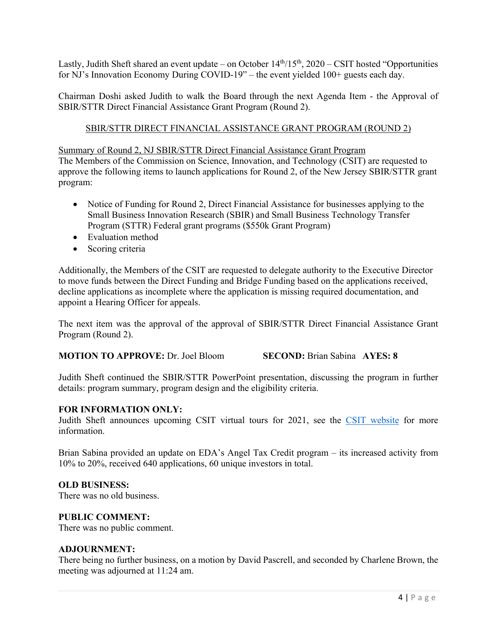Lastly, Judith Sheft shared an event update – on October  $14<sup>th</sup>/15<sup>th</sup>$ , 2020 – CSIT hosted "Opportunities" for NJ's Innovation Economy During COVID-19" – the event yielded 100+ guests each day.

Chairman Doshi asked Judith to walk the Board through the next Agenda Item - the Approval of SBIR/STTR Direct Financial Assistance Grant Program (Round 2).

# SBIR/STTR DIRECT FINANCIAL ASSISTANCE GRANT PROGRAM (ROUND 2)

Summary of Round 2, NJ SBIR/STTR Direct Financial Assistance Grant Program The Members of the Commission on Science, Innovation, and Technology (CSIT) are requested to approve the following items to launch applications for Round 2, of the New Jersey SBIR/STTR grant program:

- Notice of Funding for Round 2, Direct Financial Assistance for businesses applying to the Small Business Innovation Research (SBIR) and Small Business Technology Transfer Program (STTR) Federal grant programs (\$550k Grant Program)
- Evaluation method
- Scoring criteria

Additionally, the Members of the CSIT are requested to delegate authority to the Executive Director to move funds between the Direct Funding and Bridge Funding based on the applications received, decline applications as incomplete where the application is missing required documentation, and appoint a Hearing Officer for appeals.

The next item was the approval of the approval of SBIR/STTR Direct Financial Assistance Grant Program (Round 2).

**MOTION TO APPROVE:** Dr. Joel Bloom **SECOND:** Brian Sabina **AYES: 8**

Judith Sheft continued the SBIR/STTR PowerPoint presentation, discussing the program in further details: program summary, program design and the eligibility criteria.

#### **FOR INFORMATION ONLY:**

Judith Sheft announces upcoming CSIT virtual tours for 2021, see the [CSIT website](https://www.njeda.com/about/Public-Information/CSIT/CSIT-Board-Schedule) for more information.

Brian Sabina provided an update on EDA's Angel Tax Credit program – its increased activity from 10% to 20%, received 640 applications, 60 unique investors in total.

### **OLD BUSINESS:**

There was no old business.

#### **PUBLIC COMMENT:**

There was no public comment.

#### **ADJOURNMENT:**

There being no further business, on a motion by David Pascrell, and seconded by Charlene Brown, the meeting was adjourned at 11:24 am.